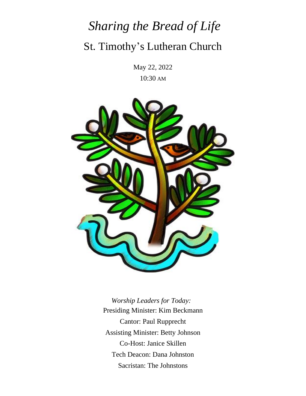# *Sharing the Bread of Life* St. Timothy's Lutheran Church

May 22, 2022 10:30 AM



 *Worship Leaders for Today:* Presiding Minister: Kim Beckmann Cantor: Paul Rupprecht Assisting Minister: Betty Johnson Co-Host: Janice Skillen Tech Deacon: Dana Johnston Sacristan: The Johnstons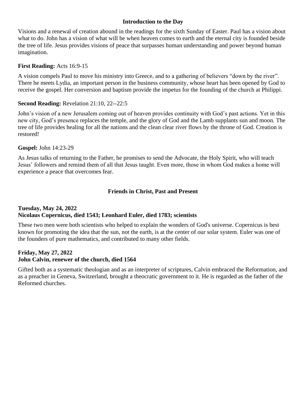#### **Introduction to the Day**

Visions and a renewal of creation abound in the readings for the sixth Sunday of Easter. Paul has a vision about what to do. John has a vision of what will be when heaven comes to earth and the eternal city is founded beside the tree of life. Jesus provides visions of peace that surpasses human understanding and power beyond human imagination.

#### **First Reading:** Acts 16:9-15

A vision compels Paul to move his ministry into Greece, and to a gathering of believers "down by the river". There he meets Lydia, an important person in the business community, whose heart has been opened by God to receive the gospel. Her conversion and baptism provide the impetus for the founding of the church at Philippi.

#### **Second Reading:** Revelation 21:10, 22--22:5

John's vision of a new Jerusalem coming out of heaven provides continuity with God's past actions. Yet in this new city, God's presence replaces the temple, and the glory of God and the Lamb supplants sun and moon. The tree of life provides healing for all the nations and the clean clear river flows by the throne of God. Creation is restored!

#### **Gospel:** John 14:23-29

As Jesus talks of returning to the Father, he promises to send the Advocate, the Holy Spirit, who will teach Jesus' followers and remind them of all that Jesus taught. Even more, those in whom God makes a home will experience a peace that overcomes fear.

#### **Friends in Christ, Past and Present**

#### **Tuesday, May 24, 2022 Nicolaus Copernicus, died 1543; Leonhard Euler, died 1783; scientists**

These two men were both scientists who helped to explain the wonders of God's universe. Copernicus is best known for promoting the idea that the sun, not the earth, is at the center of our solar system. Euler was one of the founders of pure mathematics, and contributed to many other fields.

#### **Friday, May 27, 2022 John Calvin, renewer of the church, died 1564**

Gifted both as a systematic theologian and as an interpreter of scriptures, Calvin embraced the Reformation, and as a preacher in Geneva, Switzerland, brought a theocratic government to it. He is regarded as the father of the Reformed churches.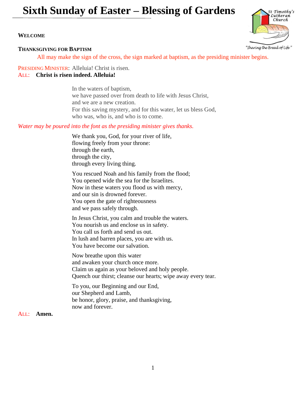## **Sixth Sunday of Easter – Blessing of Gardens**

#### **WELCOME**

#### **THANKSGIVING FOR BAPTISM**

All may make the sign of the cross, the sign marked at baptism, as the presiding minister begins.

PRESIDING MINISTER: Alleluia! Christ is risen. ALL: **Christ is risen indeed. Alleluia!**

> In the waters of baptism, we have passed over from death to life with Jesus Christ, and we are a new creation. For this saving mystery, and for this water, let us bless God, who was, who is, and who is to come.

*Water may be poured into the font as the presiding minister gives thanks.*

We thank you, God, for your river of life, flowing freely from your throne: through the earth, through the city, through every living thing.

You rescued Noah and his family from the flood; You opened wide the sea for the Israelites. Now in these waters you flood us with mercy, and our sin is drowned forever. You open the gate of righteousness and we pass safely through.

In Jesus Christ, you calm and trouble the waters. You nourish us and enclose us in safety. You call us forth and send us out. In lush and barren places, you are with us. You have become our salvation.

Now breathe upon this water and awaken your church once more. Claim us again as your beloved and holy people. Quench our thirst; cleanse our hearts; wipe away every tear.

To you, our Beginning and our End, our Shepherd and Lamb, be honor, glory, praise, and thanksgiving, now and forever.

#### ALL: **Amen.**

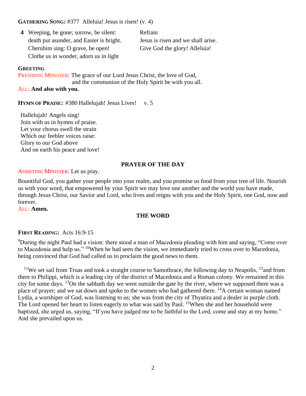#### **GATHERING SONG:** #377 Alleluia! Jesus is risen! (v. 4)

| <b>4</b> Weeping, be gone; sorrow, be silent: | Refrain                            |
|-----------------------------------------------|------------------------------------|
| death put as under, and Easter is bright.     | Jesus is risen and we shall arise. |
| Cherubim sing: O grave, be open!              | Give God the glory! Alleluia!      |
| Clothe us in wonder, adorn us in light        |                                    |

#### **GREETING**

PRESIDING MINISTER: The grace of our Lord Jesus Christ, the love of God, and the communion of the Holy Spirit be with you all.

#### ALL: **And also with you.**

**HYMN OF PRAISE:** #380 Hallelujah! Jesus Lives! v. 5

Hallelujah! Angels sing! Join with us in hymns of praise. Let your chorus swell the strain Which our feebler voices raise: Glory to our God above And on earth his peace and love!

#### **PRAYER OF THE DAY**

#### ASSISTING MINISTER: Let us pray.

Bountiful God, you gather your people into your realm, and you promise us food from your tree of life. Nourish us with your word, that empowered by your Spirit we may love one another and the world you have made, through Jesus Christ, our Savior and Lord, who lives and reigns with you and the Holy Spirit, one God, now and forever.

ALL: **Amen.**

#### **THE WORD**

#### **FIRST READING:** Acts 16:9-15

<sup>9</sup>During the night Paul had a vision: there stood a man of Macedonia pleading with him and saying, "Come over to Macedonia and help us." <sup>10</sup>When he had seen the vision, we immediately tried to cross over to Macedonia, being convinced that God had called us to proclaim the good news to them.

<sup>11</sup>We set sail from Troas and took a straight course to Samothrace, the following day to Neapolis, <sup>12</sup>and from there to Philippi, which is a leading city of the district of Macedonia and a Roman colony. We remained in this city for some days. <sup>13</sup>On the sabbath day we went outside the gate by the river, where we supposed there was a place of prayer; and we sat down and spoke to the women who had gathered there. <sup>14</sup>A certain woman named Lydia, a worshiper of God, was listening to us; she was from the city of Thyatira and a dealer in purple cloth. The Lord opened her heart to listen eagerly to what was said by Paul. <sup>15</sup>When she and her household were baptized, she urged us, saying, "If you have judged me to be faithful to the Lord, come and stay at my home." And she prevailed upon us.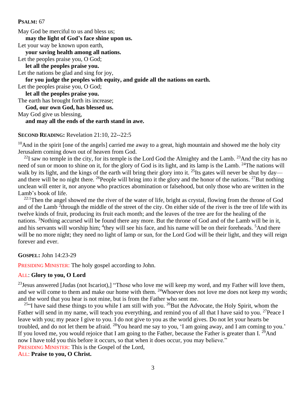#### **PSALM:** 67

May God be merciful to us and bless us; **may the light of God's face shine upon us.** Let your way be known upon earth, **your saving health among all nations.** Let the peoples praise you, O God; **let all the peoples praise you.** Let the nations be glad and sing for joy, **for you judge the peoples with equity, and guide all the nations on earth.** Let the peoples praise you, O God; **let all the peoples praise you.** The earth has brought forth its increase; **God, our own God, has blessed us.** May God give us blessing, **and may all the ends of the earth stand in awe.**

#### **SECOND READING:** Revelation 21:10, 22--22:5

 $10$ And in the spirit [one of the angels] carried me away to a great, high mountain and showed me the holy city Jerusalem coming down out of heaven from God.

 $^{22}$ I saw no temple in the city, for its temple is the Lord God the Almighty and the Lamb.  $^{23}$ And the city has no need of sun or moon to shine on it, for the glory of God is its light, and its lamp is the Lamb. <sup>24</sup>The nations will walk by its light, and the kings of the earth will bring their glory into it. <sup>25</sup>Its gates will never be shut by day and there will be no night there. <sup>26</sup>People will bring into it the glory and the honor of the nations. <sup>27</sup>But nothing unclean will enter it, nor anyone who practices abomination or falsehood, but only those who are written in the Lamb's book of life.

 $^{22:1}$ Then the angel showed me the river of the water of life, bright as crystal, flowing from the throne of God and of the Lamb <sup>2</sup>through the middle of the street of the city. On either side of the river is the tree of life with its twelve kinds of fruit, producing its fruit each month; and the leaves of the tree are for the healing of the nations. <sup>3</sup>Nothing accursed will be found there any more. But the throne of God and of the Lamb will be in it, and his servants will worship him; <sup>4</sup>they will see his face, and his name will be on their foreheads. <sup>5</sup>And there will be no more night; they need no light of lamp or sun, for the Lord God will be their light, and they will reign forever and ever.

**GOSPEL:** John 14:23-29

PRESIDING MINISTER: The holy gospel according to John.

#### ALL: **Glory to you, O Lord**

 $^{23}$ Jesus answered [Judas (not Iscariot),] "Those who love me will keep my word, and my Father will love them, and we will come to them and make our home with them. <sup>24</sup>Whoever does not love me does not keep my words; and the word that you hear is not mine, but is from the Father who sent me.

<sup>25"</sup>I have said these things to you while I am still with you. <sup>26</sup>But the Advocate, the Holy Spirit, whom the Father will send in my name, will teach you everything, and remind you of all that I have said to you. <sup>27</sup>Peace I leave with you; my peace I give to you. I do not give to you as the world gives. Do not let your hearts be troubled, and do not let them be afraid. <sup>28</sup>You heard me say to you, 'I am going away, and I am coming to you.' If you loved me, you would rejoice that I am going to the Father, because the Father is greater than I.  $^{29}$ And now I have told you this before it occurs, so that when it does occur, you may believe." PRESIDING MINISTER: This is the Gospel of the Lord,

ALL: **Praise to you, O Christ.**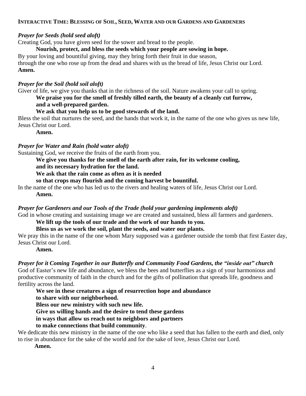#### INTERACTIVE TIME: BLESSING OF SOIL, SEED, WATER AND OUR GARDENS AND GARDENERS

#### *Prayer for Seeds (hold seed aloft)*

Creating God, you have given seed for the sower and bread to the people.

#### **Nourish, protect, and bless the seeds which your people are sowing in hope.**

By your loving and bountiful giving, may they bring forth their fruit in due season, through the one who rose up from the dead and shares with us the bread of life, Jesus Christ our Lord. **Amen.**

#### *Prayer for the Soil (hold soil aloft)*

Giver of life, we give you thanks that in the richness of the soil. Nature awakens your call to spring.

#### **We praise you for the smell of freshly tilled earth, the beauty of a cleanly cut furrow, and a well-prepared garden.**

#### **We ask that you help us to be good stewards of the land.**

Bless the soil that nurtures the seed, and the hands that work it, in the name of the one who gives us new life, Jesus Christ our Lord.

**Amen.**

#### *Prayer for Water and Rain (hold water aloft)*

Sustaining God, we receive the fruits of the earth from you.

#### **We give you thanks for the smell of the earth after rain, for its welcome cooling,**

**and its necessary hydration for the land.**

**We ask that the rain come as often as it is needed**

**so that crops may flourish and the coming harvest be bountiful.**

In the name of the one who has led us to the rivers and healing waters of life, Jesus Christ our Lord.

 **Amen.**

#### *Prayer for Gardeners and our Tools of the Trade (hold your gardening implements aloft)*

God in whose creating and sustaining image we are created and sustained, bless all farmers and gardeners.

#### **We lift up the tools of our trade and the work of our hands to you.**

**Bless us as we work the soil, plant the seeds, and water our plants.**

We pray this in the name of the one whom Mary supposed was a gardener outside the tomb that first Easter day, Jesus Christ our Lord.

#### **Amen.**

#### *Prayer for it Coming Together in our Butterfly and Community Food Gardens, the "inside out" church*

God of Easter's new life and abundance, we bless the bees and butterflies as a sign of your harmonious and productive community of faith in the church and for the gifts of pollination that spreads life, goodness and fertility across the land.

#### **We see in these creatures a sign of resurrection hope and abundance**

**to share with our neighborhood.**

**Bless our new ministry with such new life.**

**Give us willing hands and the desire to tend these gardens**

#### **in ways that allow us reach out to neighbors and partners**

#### **to make connections that build community**.

We dedicate this new ministry in the name of the one who like a seed that has fallen to the earth and died, only to rise in abundance for the sake of the world and for the sake of love, Jesus Christ our Lord.

 **Amen.**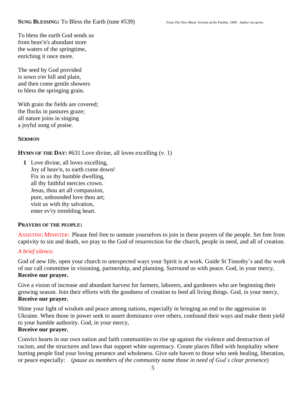To bless the earth God sends us from heav'n's abundant store the waters of the springtime, enriching it once more.

The seed by God provided is sown o'er hill and plain, and then come gentle showers to bless the springing grain.

With grain the fields are covered; the flocks in pastures graze; all nature joins in singing a joyful song of praise.

#### **SERMON**

#### **HYMN OF THE DAY:** #631 Love divine, all loves excelling (v. 1)

**1** Love divine, all loves excelling, Joy of heav'n, to earth come down! Fix in us thy humble dwelling, all thy faithful mercies crown. Jesus, thou art all compassion, pure, unbounded love thou art; visit us with thy salvation, enter ev'ry trembling heart.

#### **PRAYERS OF THE PEOPLE:**

ASSISTING MINISTER: Please feel free to unmute yourselves to join in these prayers of the people. Set free from captivity to sin and death, we pray to the God of resurrection for the church, people in need, and all of creation.

#### *A brief silence.*

God of new life, open your church to unexpected ways your Spirit is at work. Guide St Timothy's and the work of our call committee in visioning, partnership, and planning. Surround us with peace. God, in your mercy, **Receive our prayer.**

Give a vision of increase and abundant harvest for farmers, laborers, and gardeners who are beginning their growing season. Join their efforts with the goodness of creation to feed all living things. God, in your mercy, **Receive our prayer.**

Shine your light of wisdom and peace among nations, especially in bringing an end to the aggression in Ukraine. When those in power seek to assert dominance over others, confound their ways and make them yield to your humble authority. God, in your mercy,

#### **Receive our prayer.**

Convict hearts in our own nation and faith communities to rise up against the violence and destruction of racism, and the structures and laws that support white supremacy. Create places filled with hospitality where hurting people find your loving presence and wholeness. Give safe haven to those who seek healing, liberation, or peace especially: (*pause as members of the community name those in need of God's clear presence*)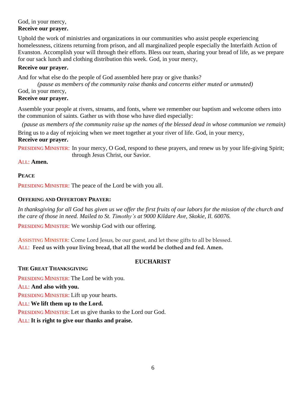#### God, in your mercy, **Receive our prayer.**

Uphold the work of ministries and organizations in our communities who assist people experiencing homelessness, citizens returning from prison, and all marginalized people especially the Interfaith Action of Evanston. Accomplish your will through their efforts. Bless our team, sharing your bread of life, as we prepare for our sack lunch and clothing distribution this week. God, in your mercy,

#### **Receive our prayer.**

And for what else do the people of God assembled here pray or give thanks?

 *(pause as members of the community raise thanks and concerns either muted or unmuted)* God, in your mercy, **Receive our prayer.**

Assemble your people at rivers, streams, and fonts, where we remember our baptism and welcome others into the communion of saints. Gather us with those who have died especially:

(pause as members of the community raise up the names of the blessed dead in whose communion we remain) Bring us to a day of rejoicing when we meet together at your river of life. God, in your mercy,

#### **Receive our prayer.**

PRESIDING MINISTER: In your mercy, O God, respond to these prayers, and renew us by your life-giving Spirit; through Jesus Christ, our Savior.

#### ALL: **Amen.**

#### **PEACE**

PRESIDING MINISTER: The peace of the Lord be with you all.

#### **OFFERING AND OFFERTORY PRAYER:**

In thanksgiving for all God has given us we offer the first fruits of our labors for the mission of the church and *the care of those in need. Mailed to St. Timothy's at 9000 Kildare Ave, Skokie, Il. 60076.*

PRESIDING MINISTER: We worship God with our offering.

ASSISTING MINISTER: Come Lord Jesus, be our guest, and let these gifts to all be blessed. ALL: **Feed us with your living bread, that all the world be clothed and fed. Amen.**

#### **EUCHARIST**

#### **THE GREAT THANKSGIVING**

PRESIDING MINISTER: The Lord be with you. ALL: **And also with you.** PRESIDING MINISTER: Lift up your hearts. ALL: **We lift them up to the Lord.** PRESIDING MINISTER: Let us give thanks to the Lord our God.

#### ALL: **It is right to give our thanks and praise.**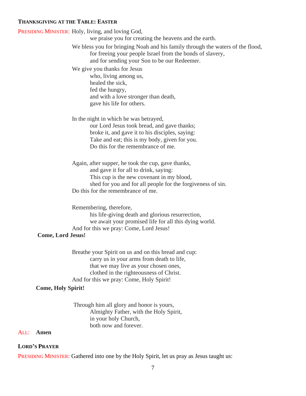#### **THANKSGIVING AT THE TABLE: EASTER**

|                           | PRESIDING MINISTER: Holy, living, and loving God,                              |
|---------------------------|--------------------------------------------------------------------------------|
|                           | we praise you for creating the heavens and the earth.                          |
|                           | We bless you for bringing Noah and his family through the waters of the flood, |
|                           | for freeing your people Israel from the bonds of slavery,                      |
|                           | and for sending your Son to be our Redeemer.                                   |
|                           | We give you thanks for Jesus                                                   |
|                           | who, living among us,                                                          |
|                           | healed the sick,                                                               |
|                           | fed the hungry,                                                                |
|                           | and with a love stronger than death,                                           |
|                           | gave his life for others.                                                      |
|                           | In the night in which he was betrayed,                                         |
|                           | our Lord Jesus took bread, and gave thanks;                                    |
|                           | broke it, and gave it to his disciples, saying:                                |
|                           | Take and eat; this is my body, given for you.                                  |
|                           | Do this for the remembrance of me.                                             |
|                           |                                                                                |
|                           | Again, after supper, he took the cup, gave thanks,                             |
|                           | and gave it for all to drink, saying:                                          |
|                           | This cup is the new covenant in my blood,                                      |
|                           | shed for you and for all people for the forgiveness of sin.                    |
|                           | Do this for the remembrance of me.                                             |
|                           | Remembering, therefore,                                                        |
|                           | his life-giving death and glorious resurrection,                               |
|                           | we await your promised life for all this dying world.                          |
|                           | And for this we pray: Come, Lord Jesus!                                        |
| <b>Come, Lord Jesus!</b>  |                                                                                |
|                           |                                                                                |
|                           | Breathe your Spirit on us and on this bread and cup:                           |
|                           | carry us in your arms from death to life,                                      |
|                           | that we may live as your chosen ones,                                          |
|                           | clothed in the righteousness of Christ.                                        |
|                           | And for this we pray: Come, Holy Spirit!                                       |
| <b>Come, Holy Spirit!</b> |                                                                                |
|                           | Through him all glory and honor is yours,                                      |
|                           | Almighty Father, with the Holy Spirit,                                         |
|                           |                                                                                |

in your holy Church, both now and forever.

#### ALL: **Amen**

#### **LORD'S PRAYER**

PRESIDING MINISTER: Gathered into one by the Holy Spirit, let us pray as Jesus taught us: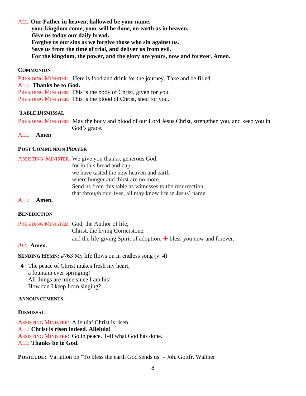#### ALL: **Our Father in heaven, hallowed be your name,**

 **your kingdom come, your will be done, on earth as in heaven. Give us today our daily bread. Forgive us our sins as we forgive those who sin against us. Save us from the time of trial, and deliver us from evil. For the kingdom, the power, and the glory are yours, now and forever. Amen.**

#### **COMMUNION**

PRESIDING MINISTER: Here is food and drink for the journey. Take and be filled. ALL: **Thanks be to God.** PRESIDING MINISTER: This is the body of Christ, given for you. PRESIDING MINISTER: This is the blood of Christ, shed for you.

#### **TABLE DISMISSAL**

PRESIDING MINISTER: May the body and blood of our Lord Jesus Christ, strengthen you, and keep you in God's grace.

#### ALL: **Amen**

#### **POST COMMUNION PRAYER**

| <b>ASSISTING MINISTER:</b> We give you thanks, generous God, |
|--------------------------------------------------------------|
| for in this bread and cup                                    |
| we have tasted the new heaven and earth                      |
| where hunger and thirst are no more.                         |
| Send us from this table as witnesses to the resurrection,    |
| that through our lives, all may know life in Jesus' name.    |

#### ALL: **Amen.**

#### **BENEDICTION**

PRESIDING MINISTER: God, the Author of life, Christ, the living Cornerstone, and the life-giving Spirit of adoption,  $\overline{+}$  bless you now and forever.

#### *ALL:* **Amen.**

**SENDING HYMN:** #763 My life flows on in endless song (v. 4)

**4** The peace of Christ makes fresh my heart, a fountain ever springing! All things are mine since I am his! How can I keep from singing?

#### **ANNOUNCEMENTS**

#### **DISMISSAL**

ASSISTING MINISTER: Alleluia! Christ is risen. ALL: **Christ is risen indeed. Alleluia!** ASSISTING MINISTER: Go in peace. Tell what God has done. ALL: **Thanks be to God.**

**POSTLUDE:** Variation on "To bless the earth God sends us" - Joh. Gottfr. Walther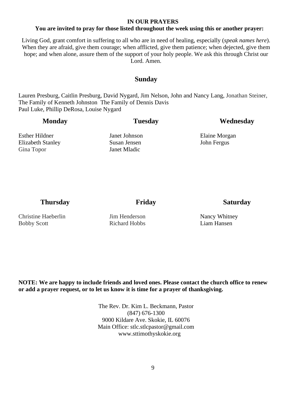#### **IN OUR PRAYERS**

#### **You are invited to pray for those listed throughout the week using this or another prayer:**

Living God, grant comfort in suffering to all who are in need of healing, especially (*speak names here*). When they are afraid, give them courage; when afflicted, give them patience; when dejected, give them hope; and when alone, assure them of the support of your holy people. We ask this through Christ our Lord. Amen.

#### **Sunday**

Lauren Presburg, Caitlin Presburg, David Nygard, Jim Nelson, John and Nancy Lang, Jonathan Steiner, The Family of Kenneth Johnston The Family of Dennis Davis Paul Luke, Phillip DeRosa, Louise Nygard

| <b>Monday</b>            | <b>Tuesday</b> | Wednesday     |
|--------------------------|----------------|---------------|
| Esther Hildner           | Janet Johnson  | Elaine Morgan |
| <b>Elizabeth Stanley</b> | Susan Jensen   | John Fergus   |
| Gina Topor               | Janet Mladic   |               |
|                          |                |               |
|                          |                |               |

#### **Thursday Friday Friday Saturday**

Christine Haeberlin Bobby Scott

Jim Henderson Richard Hobbs

Nancy Whitney Liam Hansen

**NOTE: We are happy to include friends and loved ones. Please contact the church office to renew or add a prayer request, or to let us know it is time for a prayer of thanksgiving.**

> The Rev. Dr. Kim L. Beckmann, Pastor (847) 676-1300 9000 Kildare Ave. Skokie, IL 60076 Main Office: stlc.stlcpastor@gmail.com www.sttimothyskokie.org